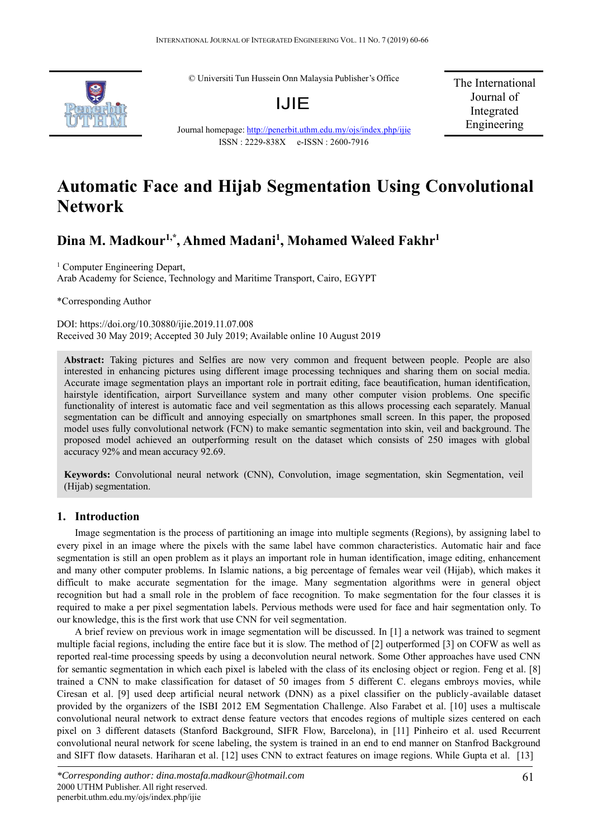© Universiti Tun Hussein Onn Malaysia Publisher's Office



Journal homepage: http://penerbit.uthm.edu.my/ojs/index.php/ijie ISSN : 2229-838X e-ISSN : 2600-7916

The International Journal of Integrated Engineering

# **Automatic Face and Hijab Segmentation Using Convolutional Network**

## **Dina M. Madkour1,\*, Ahmed Madani1 , Mohamed Waleed Fakhr1**

<sup>1</sup> Computer Engineering Depart,

Arab Academy for Science, Technology and Maritime Transport, Cairo, EGYPT

\*Corresponding Author

DOI: https://doi.org/10.30880/ijie.2019.11.07.008 Received 30 May 2019; Accepted 30 July 2019; Available online 10 August 2019

**Abstract:** Taking pictures and Selfies are now very common and frequent between people. People are also interested in enhancing pictures using different image processing techniques and sharing them on social media. Accurate image segmentation plays an important role in portrait editing, face beautification, human identification, hairstyle identification, airport Surveillance system and many other computer vision problems. One specific functionality of interest is automatic face and veil segmentation as this allows processing each separately. Manual segmentation can be difficult and annoying especially on smartphones small screen. In this paper, the proposed model uses fully convolutional network (FCN) to make semantic segmentation into skin, veil and background. The proposed model achieved an outperforming result on the dataset which consists of 250 images with global accuracy 92% and mean accuracy 92.69.

**Keywords:** Convolutional neural network (CNN), Convolution, image segmentation, skin Segmentation, veil (Hijab) segmentation.

## **1. Introduction**

Image segmentation is the process of partitioning an image into multiple segments (Regions), by assigning label to every pixel in an image where the pixels with the same label have common characteristics. Automatic hair and face segmentation is still an open problem as it plays an important role in human identification, image editing, enhancement and many other computer problems. In Islamic nations, a big percentage of females wear veil (Hijab), which makes it difficult to make accurate segmentation for the image. Many segmentation algorithms were in general object recognition but had a small role in the problem of face recognition. To make segmentation for the four classes it is required to make a per pixel segmentation labels. Pervious methods were used for face and hair segmentation only. To our knowledge, this is the first work that use CNN for veil segmentation.

A brief review on previous work in image segmentation will be discussed. In [1] a network was trained to segment multiple facial regions, including the entire face but it is slow. The method of [2] outperformed [3] on COFW as well as reported real-time processing speeds by using a deconvolution neural network. Some Other approaches have used CNN for semantic segmentation in which each pixel is labeled with the class of its enclosing object or region. Feng et al. [8] trained a CNN to make classification for dataset of 50 images from 5 different C. elegans embroys movies, while Ciresan et al. [9] used deep artificial neural network (DNN) as a pixel classifier on the publicly -available dataset provided by the organizers of the ISBI 2012 EM Segmentation Challenge. Also Farabet et al. [10] uses a multiscale convolutional neural network to extract dense feature vectors that encodes regions of multiple sizes centered on each pixel on 3 different datasets (Stanford Background, SIFR Flow, Barcelona), in [11] Pinheiro et al. used Recurrent convolutional neural network for scene labeling, the system is trained in an end to end manner on Stanfrod Background and SIFT flow datasets. Hariharan et al. [12] uses CNN to extract features on image regions. While Gupta et al. [13]

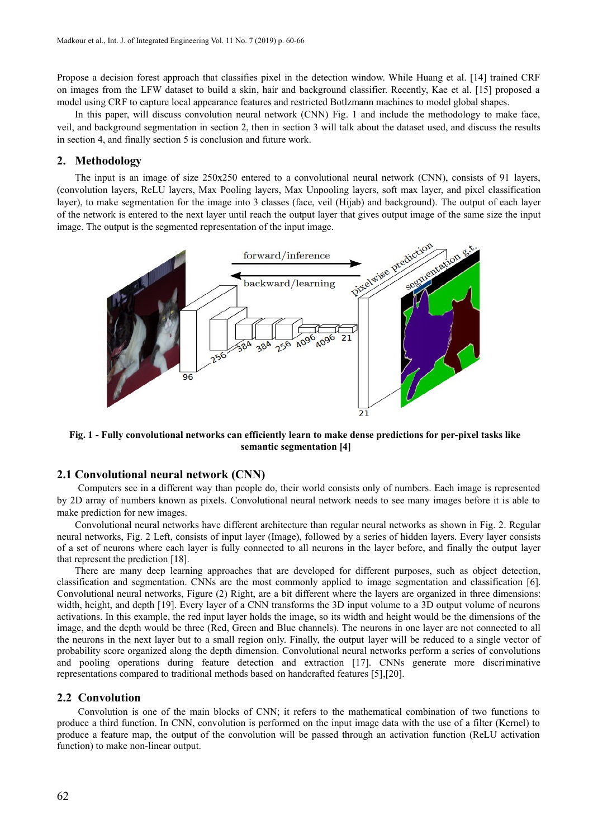Propose a decision forest approach that classifies pixel in the detection window. While Huang et al. [14] trained CRF on images from the LFW dataset to build a skin, hair and background classifier. Recently, Kae et al. [15] proposed a model using CRF to capture local appearance features and restricted Botlzmann machines to model global shapes.

In this paper, will discuss convolution neural network (CNN) Fig. 1 and include the methodology to make face, veil, and background segmentation in section 2, then in section 3 will talk about the dataset used, and discuss the results in section 4, and finally section 5 is conclusion and future work.

## **2. Methodology**

The input is an image of size 250x250 entered to a convolutional neural network (CNN), consists of 91 layers, (convolution layers, ReLU layers, Max Pooling layers, Max Unpooling layers, soft max layer, and pixel classification layer), to make segmentation for the image into 3 classes (face, veil (Hijab) and background). The output of each layer of the network is entered to the next layer until reach the output layer that gives output image of the same size the input image. The output is the segmented representation of the input image.



**Fig. 1 - Fully convolutional networks can efficiently learn to make dense predictions for per-pixel tasks like semantic segmentation [4]**

## **2.1 Convolutional neural network (CNN)**

Computers see in a different way than people do, their world consists only of numbers. Each image is represented by 2D array of numbers known as pixels. Convolutional neural network needs to see many images before it is able to make prediction for new images.

Convolutional neural networks have different architecture than regular neural networks as shown in Fig. 2. Regular neural networks, Fig. 2 Left, consists of input layer (Image), followed by a series of hidden layers. Every layer consists of a set of neurons where each layer is fully connected to all neurons in the layer before, and finally the output layer that represent the prediction [18].

There are many deep learning approaches that are developed for different purposes, such as object detection, classification and segmentation. CNNs are the most commonly applied to image segmentation and classification [6]. Convolutional neural networks, Figure (2) Right, are a bit different where the layers are organized in three dimensions: width, height, and depth [19]. Every layer of a CNN transforms the 3D input volume to a 3D output volume of neurons activations. In this example, the red input layer holds the image, so its width and height would be the dimensions of the image, and the depth would be three (Red, Green and Blue channels). The neurons in one layer are not connected to all the neurons in the next layer but to a small region only. Finally, the output layer will be reduced to a single vector of probability score organized along the depth dimension. Convolutional neural networks perform a series of convolutions and pooling operations during feature detection and extraction [17]. CNNs generate more discriminative representations compared to traditional methods based on handcrafted features [5],[20].

#### **2.2 Convolution**

Convolution is one of the main blocks of CNN; it refers to the mathematical combination of two functions to produce a third function. In CNN, convolution is performed on the input image data with the use of a filter (Kernel) to produce a feature map, the output of the convolution will be passed through an activation function (ReLU activation function) to make non-linear output.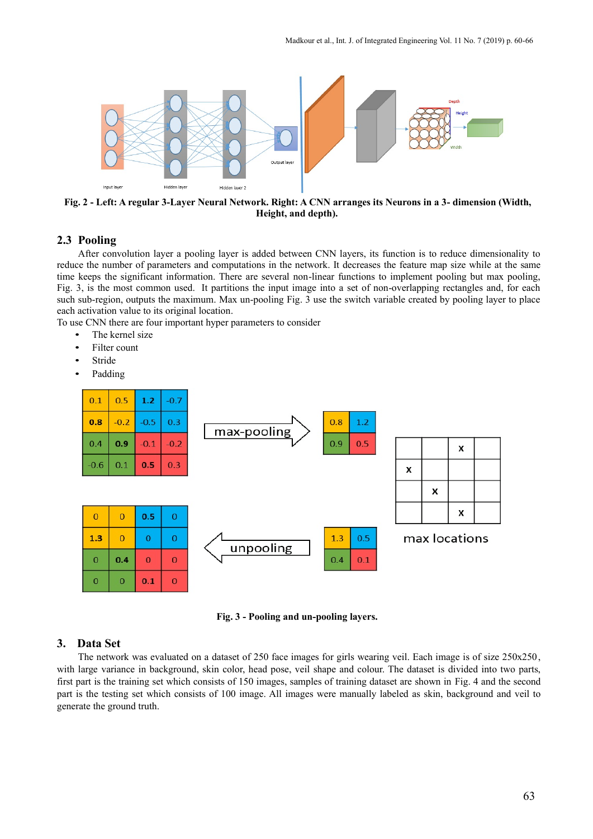

**Fig. 2 - Left: A regular 3-Layer Neural Network. Right: A CNN arranges its Neurons in a 3- dimension (Width, Height, and depth).**

### **2.3 Pooling**

After convolution layer a pooling layer is added between CNN layers, its function is to reduce dimensionality to reduce the number of parameters and computations in the network. It decreases the feature map size while at the same time keeps the significant information. There are several non-linear functions to implement pooling but max pooling, Fig. 3, is the most common used. It partitions the input image into a set of non-overlapping rectangles and, for each such sub-region, outputs the maximum. Max un-pooling Fig. 3 use the switch variable created by pooling layer to place each activation value to its original location.

To use CNN there are four important hyper parameters to consider

- The kernel size
- Filter count
- Stride
- Padding



**Fig. 3 - Pooling and un-pooling layers.**

## **3. Data Set**

The network was evaluated on a dataset of 250 face images for girls wearing veil. Each image is of size 250x250, with large variance in background, skin color, head pose, veil shape and colour. The dataset is divided into two parts, first part is the training set which consists of 150 images, samples of training dataset are shown in Fig. 4 and the second part is the testing set which consists of 100 image. All images were manually labeled as skin, background and veil to generate the ground truth.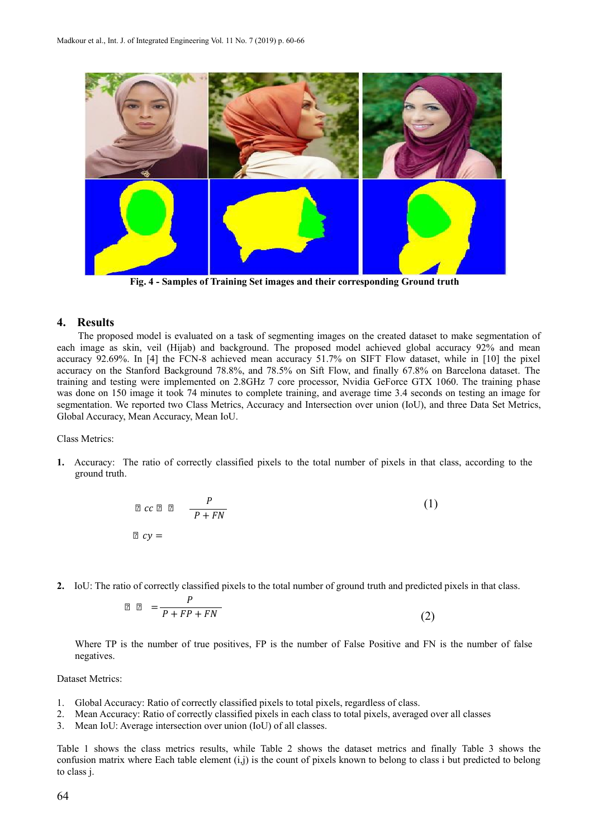

**Fig. 4 - Samples of Training Set images and their corresponding Ground truth**

## **4. Results**

The proposed model is evaluated on a task of segmenting images on the created dataset to make segmentation of each image as skin, veil (Hijab) and background. The proposed model achieved global accuracy 92% and mean accuracy 92.69%. In [4] the FCN-8 achieved mean accuracy 51.7% on SIFT Flow dataset, while in [10] the pixel accuracy on the Stanford Background 78.8%, and 78.5% on Sift Flow, and finally 67.8% on Barcelona dataset. The training and testing were implemented on 2.8GHz 7 core processor, Nvidia GeForce GTX 1060. The training phase was done on 150 image it took 74 minutes to complete training, and average time 3.4 seconds on testing an image for segmentation. We reported two Class Metrics, Accuracy and Intersection over union (IoU), and three Data Set Metrics, Global Accuracy, Mean Accuracy, Mean IoU.

Class Metrics:

**1.** Accuracy: The ratio of correctly classified pixels to the total number of pixels in that class, according to the ground truth.

$$
\begin{array}{ccc}\n\mathbb{Z} & c \mathbb{Z} & \mathbb{Z} \\
\mathbb{Z} & c \mathbb{Z} & \mathbb{Z} \\
\mathbb{Z} & c \mathbb{Z} & = & \\
\mathbb{Z} & c \mathbb{Z} & = & \\
\mathbb{Z} & \mathbb{Z} & = & \\
\mathbb{Z} & \mathbb{Z} & = & \\
\mathbb{Z} & \mathbb{Z} & = & \\
\mathbb{Z} & \mathbb{Z} & = & \\
\mathbb{Z} & \mathbb{Z} & = & \\
\mathbb{Z} & \mathbb{Z} & = & \\
\mathbb{Z} & \mathbb{Z} & = & \\
\mathbb{Z} & \mathbb{Z} & = & \\
\mathbb{Z} & \mathbb{Z} & = & \\
\mathbb{Z} & \mathbb{Z} & = & \\
\mathbb{Z} & \mathbb{Z} & = & \\
\mathbb{Z} & \mathbb{Z} & = & \\
\mathbb{Z} & \mathbb{Z} & = & \\
\mathbb{Z} & \mathbb{Z} & = & \\
\mathbb{Z} & \mathbb{Z} & = & \\
\mathbb{Z} & \mathbb{Z} & = & \\
\mathbb{Z} & \mathbb{Z} & = & \\
\mathbb{Z} & \mathbb{Z} & = & \\
\mathbb{Z} & \mathbb{Z} & = & \\
\mathbb{Z} & \mathbb{Z} & = & \\
\mathbb{Z} & \mathbb{Z} & = & \\
\mathbb{Z} & \mathbb{Z} & = & \\
\mathbb{Z} & \mathbb{Z} & = & \\
\mathbb{Z} & \mathbb{Z} & = & \\
\mathbb{Z} & \mathbb{Z} & = & \\
\mathbb{Z} & \mathbb{Z} & = & \\
\mathbb{Z} & \mathbb{Z} & = & \\
\mathbb{Z} & \mathbb{Z} & = & \\
\mathbb{Z} &
$$

**2.** IoU: The ratio of correctly classified pixels to the total number of ground truth and predicted pixels in that class.

$$
\mathbb{Z} \quad \mathbb{Z} \quad = \frac{P}{P + FP + FN} \tag{2}
$$

Where TP is the number of true positives, FP is the number of False Positive and FN is the number of false negatives.

#### Dataset Metrics:

- 1. Global Accuracy: Ratio of correctly classified pixels to total pixels, regardless of class.
- 2. Mean Accuracy: Ratio of correctly classified pixels in each class to total pixels, averaged over all classes
- 3. Mean IoU: Average intersection over union (IoU) of all classes.

Table 1 shows the class metrics results, while Table 2 shows the dataset metrics and finally Table 3 shows the confusion matrix where Each table element (i,j) is the count of pixels known to belong to class i but predicted to belong to class j.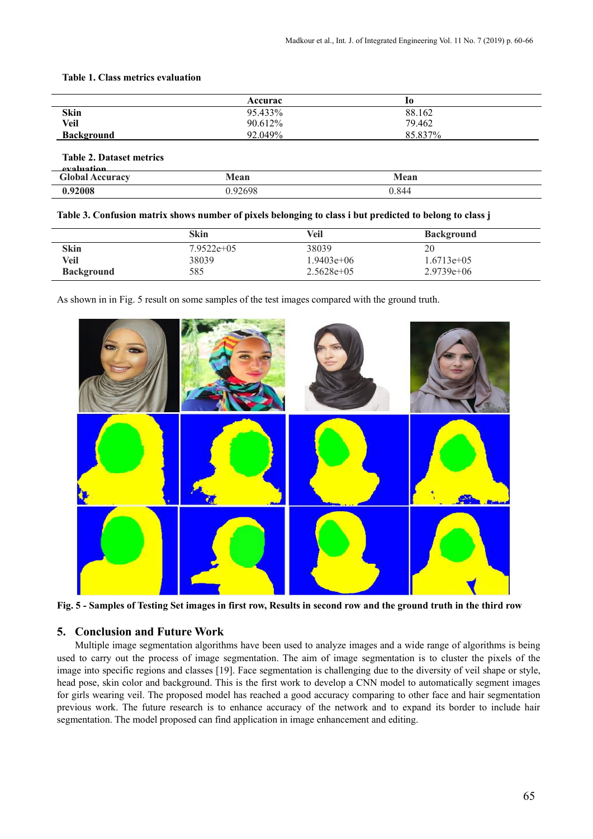**Table 1. Class metrics evaluation**

|                   | Accurac | 10      |  |
|-------------------|---------|---------|--|
| <b>Skin</b>       | 95.433% | 88.162  |  |
| Veil              | 90.612% | 79.462  |  |
| <b>Background</b> | 92.049% | 85.837% |  |

**Table 2. Dataset metrics**

| evaluation             |         |       |  |
|------------------------|---------|-------|--|
| <b>Global Accuracy</b> | Mean    | Mean  |  |
| .92008                 | ).92698 | 0.844 |  |

#### **Table 3. Confusion matrix shows number of pixels belonging to class i but predicted to belong to class j**

|                   | Skin          | Veil         | <b>Background</b> |
|-------------------|---------------|--------------|-------------------|
| <b>Skin</b>       | $7.9522e+0.5$ | 38039        | 20                |
| Veil              | 38039         | $1.9403e+06$ | $1.6713e+05$      |
| <b>Background</b> | 585           | $2.5628e+05$ | $2.9739e+06$      |

As shown in in Fig. 5 result on some samples of the test images compared with the ground truth.



**Fig. 5 - Samples of Testing Set images in first row, Results in second row and the ground truth in the third row**

## **5. Conclusion and Future Work**

Multiple image segmentation algorithms have been used to analyze images and a wide range of algorithms is being used to carry out the process of image segmentation. The aim of image segmentation is to cluster the pixels of the image into specific regions and classes [19]. Face segmentation is challenging due to the diversity of veil shape or style, head pose, skin color and background. This is the first work to develop a CNN model to automatically segment images for girls wearing veil. The proposed model has reached a good accuracy comparing to other face and hair segmentation previous work. The future research is to enhance accuracy of the network and to expand its border to include hair segmentation. The model proposed can find application in image enhancement and editing.